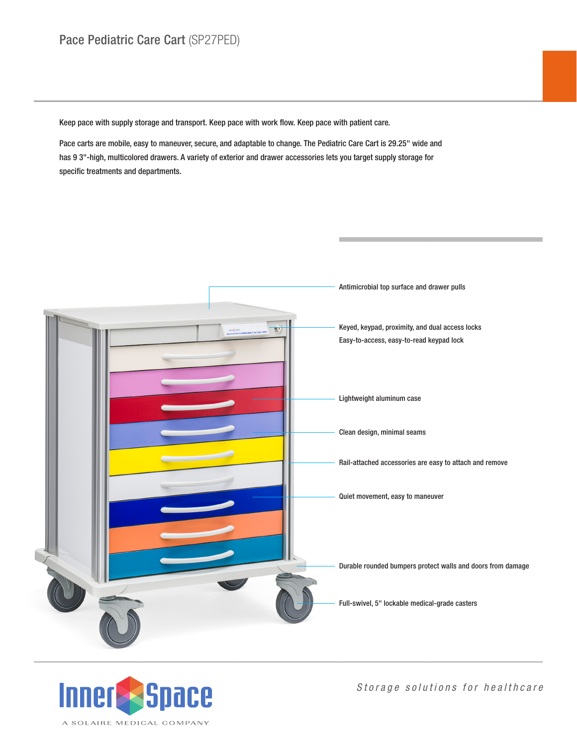Keep pace with supply storage and transport. Keep pace with work flow. Keep pace with patient care.

Pace carts are mobile, easy to maneuver, secure, and adaptable to change. The Pediatric Care Cart is 29.25" wide and has 9 3"-high, multicolored drawers. A variety of exterior and drawer accessories lets you target supply storage for specific treatments and departments.





*Storage solutions for healthcare*